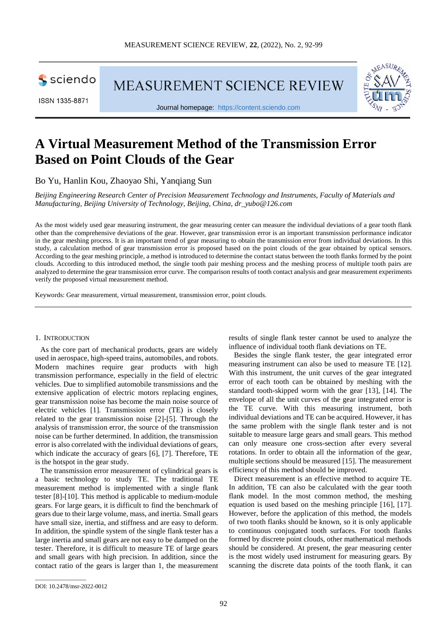

ISSN 1335-8871

MEASUREMENT SCIENCE REVIEW



Journal homepage: [https://content.sciendo.com](https://content.sciendo.com/view/journals/msr/msr-overview.xml)

# **A Virtual Measurement Method of the Transmission Error Based on Point Clouds of the Gear**

Bo Yu, Hanlin Kou, Zhaoyao Shi, Yangiang Sun

*Beijing Engineering Research Center of Precision Measurement Technology and Instruments, Faculty of Materials and Manufacturing, Beijing University of Technology, Beijing, China, dr\_yubo@126.com*

As the most widely used gear measuring instrument, the gear measuring center can measure the individual deviations of a gear tooth flank other than the comprehensive deviations of the gear. However, gear transmission error is an important transmission performance indicator in the gear meshing process. It is an important trend of gear measuring to obtain the transmission error from individual deviations. In this study, a calculation method of gear transmission error is proposed based on the point clouds of the gear obtained by optical sensors. According to the gear meshing principle, a method is introduced to determine the contact status between the tooth flanks formed by the point clouds. According to this introduced method, the single tooth pair meshing process and the meshing process of multiple tooth pairs are analyzed to determine the gear transmission error curve. The comparison results of tooth contact analysis and gear measurement experiments verify the proposed virtual measurement method.

Keywords: Gear measurement, virtual measurement, transmission error, point clouds.

#### 1. INTRODUCTION

As the core part of mechanical products, gears are widely used in aerospace, high-speed trains, automobiles, and robots. Modern machines require gear products with high transmission performance, especially in the field of electric vehicles. Due to simplified automobile transmissions and the extensive application of electric motors replacing engines, gear transmission noise has become the main noise source of electric vehicles [1]. Transmission error (TE) is closely related to the gear transmission noise [2]-[5]. Through the analysis of transmission error, the source of the transmission noise can be further determined. In addition, the transmission error is also correlated with the individual deviations of gears, which indicate the accuracy of gears [6], [7]. Therefore, TE is the hotspot in the gear study.

The transmission error measurement of cylindrical gears is a basic technology to study TE. The traditional TE measurement method is implemented with a single flank tester [8]-[10]. This method is applicable to medium-module gears. For large gears, it is difficult to find the benchmark of gears due to their large volume, mass, and inertia. Small gears have small size, inertia, and stiffness and are easy to deform. In addition, the spindle system of the single flank tester has a large inertia and small gears are not easy to be damped on the tester. Therefore, it is difficult to measure TE of large gears and small gears with high precision. In addition, since the contact ratio of the gears is larger than 1, the measurement

results of single flank tester cannot be used to analyze the influence of individual tooth flank deviations on TE.

Besides the single flank tester, the gear integrated error measuring instrument can also be used to measure TE [12]. With this instrument, the unit curves of the gear integrated error of each tooth can be obtained by meshing with the standard tooth-skipped worm with the gear [13], [14]. The envelope of all the unit curves of the gear integrated error is the TE curve. With this measuring instrument, both individual deviations and TE can be acquired. However, it has the same problem with the single flank tester and is not suitable to measure large gears and small gears. This method can only measure one cross-section after every several rotations. In order to obtain all the information of the gear, multiple sections should be measured [15]. The measurement efficiency of this method should be improved.

Direct measurement is an effective method to acquire TE. In addition, TE can also be calculated with the gear tooth flank model. In the most common method, the meshing equation is used based on the meshing principle [16], [17]. However, before the application of this method, the models of two tooth flanks should be known, so it is only applicable to continuous conjugated tooth surfaces. For tooth flanks formed by discrete point clouds, other mathematical methods should be considered. At present, the gear measuring center is the most widely used instrument for measuring gears. By scanning the discrete data points of the tooth flank, it can

\_\_\_\_\_\_\_\_\_\_\_\_\_\_\_\_\_

DOI: 10.2478/msr-2022-0012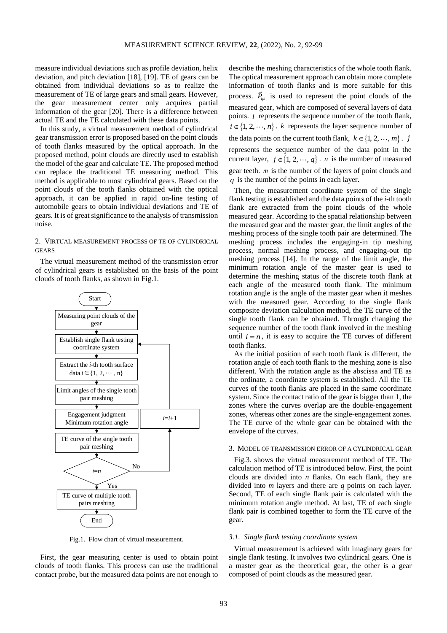measure individual deviations such as profile deviation, helix deviation, and pitch deviation [18], [19]. TE of gears can be obtained from individual deviations so as to realize the measurement of TE of large gears and small gears. However, the gear measurement center only acquires partial information of the gear [20]. There is a difference between actual TE and the TE calculated with these data points.

In this study, a virtual measurement method of cylindrical gear transmission error is proposed based on the point clouds of tooth flanks measured by the optical approach. In the proposed method, point clouds are directly used to establish the model of the gear and calculate TE. The proposed method can replace the traditional TE measuring method. This method is applicable to most cylindrical gears. Based on the point clouds of the tooth flanks obtained with the optical approach, it can be applied in rapid on-line testing of automobile gears to obtain individual deviations and TE of gears. It is of great significance to the analysis of transmission noise.

# 2. VIRTUAL MEASUREMENT PROCESS OF TE OF CYLINDRICAL **GEARS**

The virtual measurement method of the transmission error of cylindrical gears is established on the basis of the point clouds of tooth flanks, as shown in Fig.1.



Fig.1. Flow chart of virtual measurement.

First, the gear measuring center is used to obtain point clouds of tooth flanks. This process can use the traditional contact probe, but the measured data points are not enough to describe the meshing characteristics of the whole tooth flank. The optical measurement approach can obtain more complete information of tooth flanks and is more suitable for this process.  $\vec{P}_{ijk}$  is used to represent the point clouds of the measured gear, which are composed of several layers of data points. *i* represents the sequence number of the tooth flank,  $i \in \{1, 2, \dots, n\}$ . *k* represents the layer sequence number of the data points on the current tooth flank,  $k \in \{1, 2, \dots, m\}$ . *j* represents the sequence number of the data point in the current layer,  $j \in \{1, 2, \dots, q\}$ . *n* is the number of measured gear teeth. *<sup>m</sup>* is the number of the layers of point clouds and *q* is the number of the points in each layer.

Then, the measurement coordinate system of the single flank testing is established and the data points of the *i-*th tooth flank are extracted from the point clouds of the whole measured gear. According to the spatial relationship between the measured gear and the master gear, the limit angles of the meshing process of the single tooth pair are determined. The meshing process includes the engaging-in tip meshing process, normal meshing process, and engaging-out tip meshing process [14]. In the range of the limit angle, the minimum rotation angle of the master gear is used to determine the meshing status of the discrete tooth flank at each angle of the measured tooth flank. The minimum rotation angle is the angle of the master gear when it meshes with the measured gear. According to the single flank composite deviation calculation method, the TE curve of the single tooth flank can be obtained. Through changing the sequence number of the tooth flank involved in the meshing until  $i = n$ , it is easy to acquire the TE curves of different tooth flanks.

As the initial position of each tooth flank is different, the rotation angle of each tooth flank to the meshing zone is also different. With the rotation angle as the abscissa and TE as the ordinate, a coordinate system is established. All the TE curves of the tooth flanks are placed in the same coordinate system. Since the contact ratio of the gear is bigger than 1, the zones where the curves overlap are the double-engagement zones, whereas other zones are the single-engagement zones. The TE curve of the whole gear can be obtained with the envelope of the curves.

## 3. MODEL OF TRANSMISSION ERROR OF A CYLINDRICAL GEAR

Fig.3. shows the virtual measurement method of TE. The calculation method of TE is introduced below. First, the point clouds are divided into *n* flanks. On each flank, they are divided into *m* layers and there are *q* points on each layer. Second, TE of each single flank pair is calculated with the minimum rotation angle method. At last, TE of each single flank pair is combined together to form the TE curve of the gear.

# *3.1. Single flank testing coordinate system*

Virtual measurement is achieved with imaginary gears for single flank testing. It involves two cylindrical gears. One is a master gear as the theoretical gear, the other is a gear composed of point clouds as the measured gear.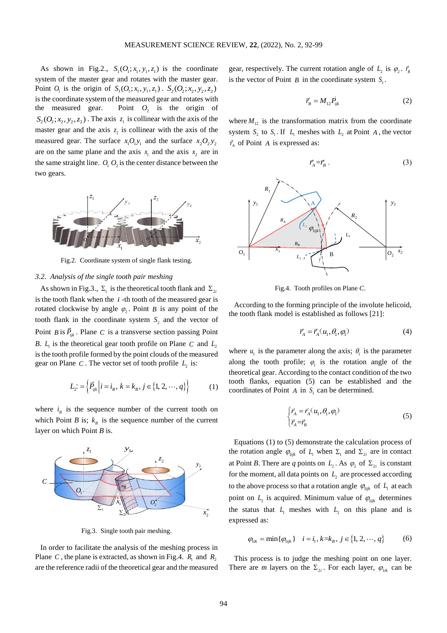As shown in Fig.2.,  $S_1$ ( $O_1$ ; $x_1$ , $y_1$ , $z_1$ ) is the coordinate system of the master gear and rotates with the master gear. Point  $O_1$  is the origin of  $S_1(O_1; x_1, y_1, z_1)$ .  $S_2(O_2; x_2, y_2, z_2)$ is the coordinate system of the measured gear and rotates with the measured gear.  $O_2$  is the origin of  $S_2$ ( $O_2$ ;  $x_2$ ,  $y_2$ ,  $z_2$ ). The axis  $z_1$  is collinear with the axis of the master gear and the axis  $z_2$  is collinear with the axis of the measured gear. The surface  $x_1O_1y_1$  and the surface  $x_2O_2y_2$ are on the same plane and the axis  $x_1$  and the axis  $x_2$  are in the same straight line.  $O_1 O_2$  is the center distance between the two gears.



Fig.2. Coordinate system of single flank testing.

# *3.2. Analysis of the single tooth pair meshing*

As shown in Fig.3.,  $\Sigma_1$  is the theoretical tooth flank and  $\Sigma_2$ is the tooth flank when the  $i$ -th tooth of the measured gear is rotated clockwise by angle  $\varphi_2$ . Point *B* is any point of the tooth flank in the coordinate system  $S_2$  and the vector of Point *B* is  $\vec{P}_{ijk}$ . Plane *C* is a transverse section passing Point *B*.  $L_1$  is the theoretical gear tooth profile on Plane C and  $L_2$ is the tooth profile formed by the point clouds of the measured gear on Plane  $C$ . The vector set of tooth profile  $L<sub>2</sub>$  is:

$$
L_2: = \left\{ \vec{P}_{ijk} \middle| i = i_B, \ k = k_B, j \in \{1, 2, \cdots, q\} \right\}
$$
 (1)

where  $i_{B}$  is the sequence number of the current tooth on which Point *B* is;  $k<sub>B</sub>$  is the sequence number of the current layer on which Point *B* is.



Fig.3. Single tooth pair meshing.

In order to facilitate the analysis of the meshing process in Plane *C*, the plane is extracted, as shown in Fig.4.  $R_1$  and  $R_2$ are the reference radii of the theoretical gear and the measured gear, respectively. The current rotation angle of  $L_2$  is  $\varphi_2$ .  $\vec{r}_B$ is the vector of Point  $B$  in the coordinate system  $S_1$ .

$$
\vec{r}_B = M_{12} \vec{P}_{ijk} \tag{2}
$$

where  $M_{12}$  is the transformation matrix from the coordinate system  $S_2$  to  $S_1$ . If  $L_1$  meshes with  $L_2$  at Point A, the vector  $\vec{r}_A$  of Point *A* is expressed as:

$$
\vec{r}_A = \vec{r}_B \ . \tag{3}
$$



Fig.4. Tooth profiles on Plane *C*.

According to the forming principle of the involute helicoid, the tooth flank model is established as follows [21]:

$$
\vec{r}_A = \vec{r}_A(u_1, \theta_1, \varphi_1) \tag{4}
$$

where  $u_1$  is the parameter along the axis;  $\theta_1$  is the parameter along the tooth profile;  $\varphi_1$  is the rotation angle of the theoretical gear. According to the contact condition of the two tooth flanks, equation (5) can be established and the coordinates of Point  $A$  in  $S_1$  can be determined.

$$
\begin{cases} \vec{r}_A = \vec{r}_A(u_1, \theta_1, \varphi_1) \\ \vec{r}_A = \vec{r}_B \end{cases}
$$
 (5)

Equations (1) to (5) demonstrate the calculation process of the rotation angle  $\varphi_{1ijk}$  of  $L_1$  when  $\Sigma_1$  and  $\Sigma_{2i}$  are in contact  $\frac{z_2}{z_2}$   $\qquad \qquad$  *y*<sub>2</sub> at Point *B*. There are *q* points on  $L_2$ . As  $\varphi_2$  of  $\Sigma_{2i}$  is constant for the moment, all data points on  $L<sub>2</sub>$  are processed according to the above process so that a rotation angle  $\varphi_{\text{Lijk}}$  of  $L_{\text{i}}$  at each point on  $L_2$  is acquired. Minimum value of  $\varphi_{\text{lijk}}$  determines  $\overrightarrow{x_2}$  the status that  $L_1$  meshes with  $L_2$  on this plane and is expressed as:

$$
\varphi_{iik} = \min\{\varphi_{iijk}\} \quad i = i_1, k = k_B, j \in \{1, 2, \cdots, q\} \tag{6}
$$

This process is to judge the meshing point on one layer. There are *m* layers on the  $\Sigma_{2i}$ . For each layer,  $\varphi_{1ik}$  can be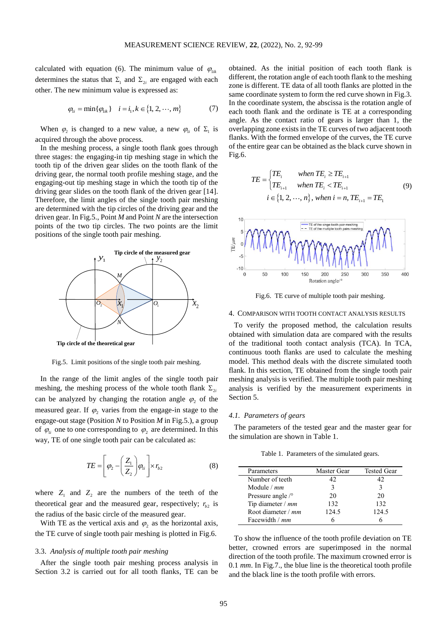calculated with equation (6). The minimum value of  $\varphi_{ijk}$ determines the status that  $\Sigma_1$  and  $\Sigma_{2i}$  are engaged with each other. The new minimum value is expressed as:

$$
\varphi_{1i} = \min\{\varphi_{1ik}\} \quad i = i_1, k \in \{1, 2, \cdots, m\}
$$
 (7)

When  $\varphi_2$  is changed to a new value, a new  $\varphi_{1i}$  of  $\Sigma_1$  is acquired through the above process.

In the meshing process, a single tooth flank goes through three stages: the engaging-in tip meshing stage in which the tooth tip of the driven gear slides on the tooth flank of the driving gear, the normal tooth profile meshing stage, and the engaging-out tip meshing stage in which the tooth tip of the driving gear slides on the tooth flank of the driven gear [14]. Therefore, the limit angles of the single tooth pair meshing are determined with the tip circles of the driving gear and the driven gear. In Fig.5., Point *M* and Point *N* are the intersection points of the two tip circles. The two points are the limit positions of the single tooth pair meshing.



Fig.5. Limit positions of the single tooth pair meshing.

In the range of the limit angles of the single tooth pair meshing, the meshing process of the whole tooth flank  $\Sigma_{2i}$ can be analyzed by changing the rotation angle  $\varphi_2$  of the measured gear. If  $\varphi_2$  varies from the engage-in stage to the engage-out stage (Position *N* to Position *M* in Fig.5.), a group of  $\varphi_{1i}$  one to one corresponding to  $\varphi_2$  are determined. In this way, TE of one single tooth pair can be calculated as:

$$
TE = \left[\varphi_2 - \left(\frac{Z_1}{Z_2}\right)\varphi_{1i}\right] \times r_{b2} \tag{8}
$$

where  $Z_1$  and  $Z_2$  are the numbers of the teeth of the theoretical gear and the measured gear, respectively;  $r_{b2}$  is the radius of the basic circle of the measured gear.

With TE as the vertical axis and  $\varphi_2$  as the horizontal axis, the TE curve of single tooth pair meshing is plotted in Fig.6.

## 3.3. *Analysis of multiple tooth pair meshing*

After the single tooth pair meshing process analysis in Section 3.2 is carried out for all tooth flanks, TE can be

obtained. As the initial position of each tooth flank is different, the rotation angle of each tooth flank to the meshing zone is different. TE data of all tooth flanks are plotted in the same coordinate system to form the red curve shown in Fig.3. In the coordinate system, the abscissa is the rotation angle of each tooth flank and the ordinate is TE at a corresponding angle. As the contact ratio of gears is larger than 1, the overlapping zone exists in the TE curves of two adjacent tooth flanks. With the formed envelope of the curves, the TE curve of the entire gear can be obtained as the black curve shown in Fig.6.

$$
TE = \begin{cases} TE_i & when TE_i \ge TE_{i+1} \\ TE_{i+1} & when TE_i < TE_{i+1} \\ i \in \{1, 2, \cdots, n\}, when i = n, TE_{i+1} = TE_1 \end{cases} \tag{9}
$$



Fig.6. TE curve of multiple tooth pair meshing.

#### 4. COMPARISON WITH TOOTH CONTACT ANALYSIS RESULTS

 $N \setminus \bigcup$  To verify the proposed method, the calculation results obtained with simulation data are compared with the results of the traditional tooth contact analysis (TCA). In TCA, continuous tooth flanks are used to calculate the meshing model. This method deals with the discrete simulated tooth flank. In this section, TE obtained from the single tooth pair meshing analysis is verified. The multiple tooth pair meshing analysis is verified by the measurement experiments in Section 5.

# *4.1. Parameters of gears*

The parameters of the tested gear and the master gear for the simulation are shown in Table 1.

Table 1. Parameters of the simulated gears.

| Parameters                 | Master Gear | <b>Tested Gear</b> |
|----------------------------|-------------|--------------------|
| Number of teeth            | 42          | 42                 |
|                            |             |                    |
| Module $/mm$               | 3           |                    |
| Pressure angle $\sqrt{\ }$ | 20          | 20                 |
| Tip diameter $/$ mm        | 132         | 132                |
| Root diameter / mm         | 124.5       | 124.5              |
| Facewidth / mm             |             |                    |

To show the influence of the tooth profile deviation on TE better, crowned errors are superimposed in the normal direction of the tooth profile. The maximum crowned error is 0.1 *mm*. In Fig.7., the blue line is the theoretical tooth profile and the black line is the tooth profile with errors.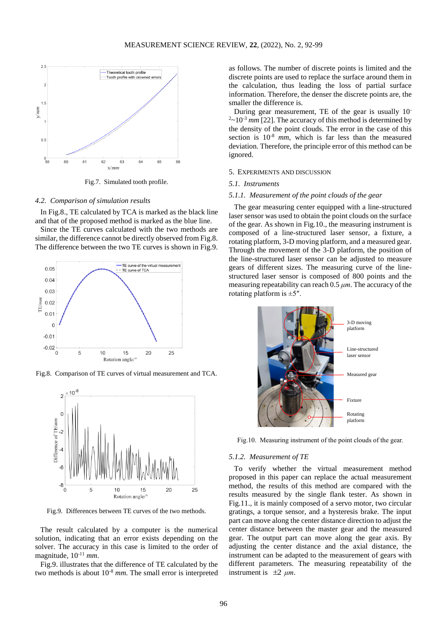

Fig.7. Simulated tooth profile.

# *4.2. Comparison of simulation results*

In Fig.8., TE calculated by TCA is marked as the black line and that of the proposed method is marked as the blue line.

Since the TE curves calculated with the two methods are similar, the difference cannot be directly observed from Fig.8. The difference between the two TE curves is shown in Fig.9.



Fig.8. Comparison of TE curves of virtual measurement and TCA.



Fig.9. Differences between TE curves of the two methods.

The result calculated by a computer is the numerical solution, indicating that an error exists depending on the solver. The accuracy in this case is limited to the order of magnitude, 10-11 *mm*.

Fig.9. illustrates that the difference of TE calculated by the two methods is about 10-8 *mm*. The small error is interpreted as follows. The number of discrete points is limited and the discrete points are used to replace the surface around them in the calculation, thus leading the loss of partial surface information. Therefore, the denser the discrete points are, the smaller the difference is.

During gear measurement, TE of the gear is usually 10-  $2 \sim 10^{-3}$  *mm* [22]. The accuracy of this method is determined by the density of the point clouds. The error in the case of this section is 10-8 *mm*, which is far less than the measured deviation. Therefore, the principle error of this method can be ignored.

#### 5. EXPERIMENTS AND DISCUSSION

# *5.1. Instruments*

# *5.1.1. Measurement of the point clouds of the gear*

The gear measuring center equipped with a line-structured laser sensor was used to obtain the point clouds on the surface of the gear. As shown in Fig.10., the measuring instrument is composed of a line-structured laser sensor, a fixture, a rotating platform, 3-D moving platform, and a measured gear. Through the movement of the 3-D platform, the position of the line-structured laser sensor can be adjusted to measure gears of different sizes. The measuring curve of the linestructured laser sensor is composed of 800 points and the measuring repeatability can reach 0.5 *μm*. The accuracy of the rotating platform is  $\pm 5$ ".



Fig.10. Measuring instrument of the point clouds of the gear.

#### *5.1.2. Measurement of TE*

To verify whether the virtual measurement method proposed in this paper can replace the actual measurement method, the results of this method are compared with the results measured by the single flank tester. As shown in Fig.11., it is mainly composed of a servo motor, two circular gratings, a torque sensor, and a hysteresis brake. The input part can move along the center distance direction to adjust the center distance between the master gear and the measured gear. The output part can move along the gear axis. By adjusting the center distance and the axial distance, the instrument can be adapted to the measurement of gears with different parameters. The measuring repeatability of the instrument is  $\pm 2 \mu m$ .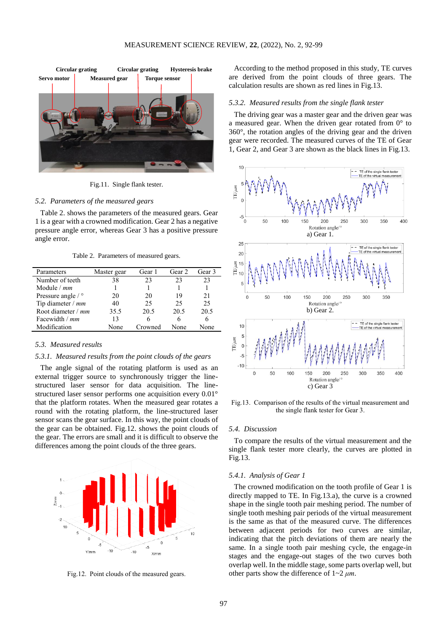

Fig.11. Single flank tester.

# *5.2. Parameters of the measured gears*

Table 2. shows the parameters of the measured gears. Gear 1 is a gear with a crowned modification. Gear 2 has a negative pressure angle error, whereas Gear 3 has a positive pressure angle error.

Table 2. Parameters of measured gears.

| Parameters                           | Master gear | Gear 1  | Gear <sub>2</sub> | Gear <sub>3</sub> |
|--------------------------------------|-------------|---------|-------------------|-------------------|
| Number of teeth                      | 38          | 23      | 23                | 23                |
| Module $/mm$                         |             |         |                   |                   |
| Pressure angle $\frac{\circ}{\circ}$ | 20          | 20      | 19                | 21                |
| Tip diameter $/$ mm                  | 40          | 25      | 25                | 25                |
| Root diameter / mm                   | 35.5        | 20.5    | 20.5              | 20.5              |
| Facewidth / mm                       | 13          | 6       | 6                 |                   |
| Modification                         | None        | Crowned | None              | None              |

## *5.3. Measured results*

# *5.3.1. Measured results from the point clouds of the gears*

The angle signal of the rotating platform is used as an external trigger source to synchronously trigger the linestructured laser sensor for data acquisition. The linestructured laser sensor performs one acquisition every 0.01° that the platform rotates. When the measured gear rotates a round with the rotating platform, the line-structured laser sensor scans the gear surface. In this way, the point clouds of the gear can be obtained. Fig.12. shows the point clouds of the gear. The errors are small and it is difficult to observe the differences among the point clouds of the three gears.



Fig.12. Point clouds of the measured gears.

According to the method proposed in this study, TE curves are derived from the point clouds of three gears. The calculation results are shown as red lines in Fig.13.

#### *5.3.2. Measured results from the single flank tester*

The driving gear was a master gear and the driven gear was a measured gear. When the driven gear rotated from 0° to 360°, the rotation angles of the driving gear and the driven gear were recorded. The measured curves of the TE of Gear 1, Gear 2, and Gear 3 are shown as the black lines in Fig.13.



Fig.13. Comparison of the results of the virtual measurement and the single flank tester for Gear 3.

#### *5.4. Discussion*

To compare the results of the virtual measurement and the single flank tester more clearly, the curves are plotted in Fig.13.

## *5.4.1. Analysis of Gear 1*

The crowned modification on the tooth profile of Gear 1 is directly mapped to TE. In Fig.13.a), the curve is a crowned shape in the single tooth pair meshing period. The number of single tooth meshing pair periods of the virtual measurement is the same as that of the measured curve. The differences between adjacent periods for two curves are similar, indicating that the pitch deviations of them are nearly the same. In a single tooth pair meshing cycle, the engage-in stages and the engage-out stages of the two curves both overlap well. In the middle stage, some parts overlap well, but other parts show the difference of 1~2 *μm*.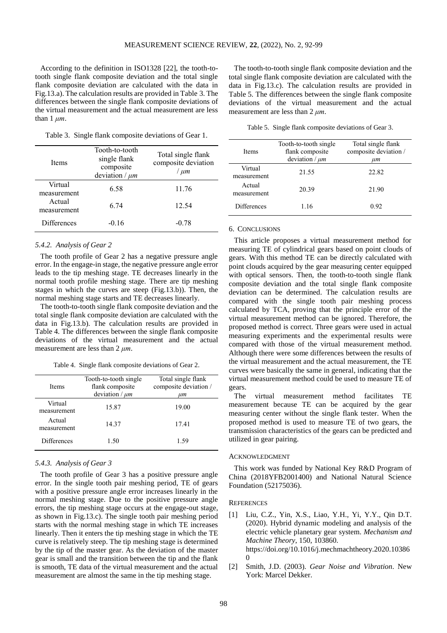According to the definition in ISO1328 [22], the tooth-totooth single flank composite deviation and the total single flank composite deviation are calculated with the data in Fig.13.a). The calculation results are provided in Table 3. The differences between the single flank composite deviations of the virtual measurement and the actual measurement are less than  $1 \mu m$ .

Table 3. Single flank composite deviations of Gear 1.

| Items                  | Tooth-to-tooth<br>single flank<br>composite<br>deviation / $\mu$ m | Total single flank<br>composite deviation<br>/ um |
|------------------------|--------------------------------------------------------------------|---------------------------------------------------|
| Virtual<br>measurement | 6.58                                                               | 11.76                                             |
| Actual<br>measurement  | 6 74                                                               | 12.54                                             |
| Differences            | $-0.16$                                                            | $-0.78$                                           |

# *5.4.2. Analysis of Gear 2*

The tooth profile of Gear 2 has a negative pressure angle error. In the engage-in stage, the negative pressure angle error leads to the tip meshing stage. TE decreases linearly in the normal tooth profile meshing stage. There are tip meshing stages in which the curves are steep (Fig.13.b)). Then, the normal meshing stage starts and TE decreases linearly.

The tooth-to-tooth single flank composite deviation and the total single flank composite deviation are calculated with the data in Fig.13.b). The calculation results are provided in Table 4. The differences between the single flank composite deviations of the virtual measurement and the actual measurement are less than 2 *μm*.

Table 4. Single flank composite deviations of Gear 2.

| <b>Items</b>           | Tooth-to-tooth single<br>flank composite<br>deviation / $\mu$ m | Total single flank<br>composite deviation /<br>иm |
|------------------------|-----------------------------------------------------------------|---------------------------------------------------|
| Virtual<br>measurement | 15.87                                                           | 19.00                                             |
| Actual<br>measurement  | 14.37                                                           | 17.41                                             |
| <b>Differences</b>     | 1.50                                                            | 1.59                                              |

# *5.4.3. Analysis of Gear 3*

The tooth profile of Gear 3 has a positive pressure angle error. In the single tooth pair meshing period, TE of gears with a positive pressure angle error increases linearly in the normal meshing stage. Due to the positive pressure angle errors, the tip meshing stage occurs at the engage-out stage, as shown in Fig.13.c). The single tooth pair meshing period starts with the normal meshing stage in which TE increases linearly. Then it enters the tip meshing stage in which the TE curve is relatively steep. The tip meshing stage is determined by the tip of the master gear. As the deviation of the master gear is small and the transition between the tip and the flank is smooth, TE data of the virtual measurement and the actual measurement are almost the same in the tip meshing stage.

The tooth-to-tooth single flank composite deviation and the total single flank composite deviation are calculated with the data in Fig.13.c). The calculation results are provided in Table 5. The differences between the single flank composite deviations of the virtual measurement and the actual measurement are less than 2 *μm*.

Table 5. Single flank composite deviations of Gear 3.

| <b>Items</b>           | Tooth-to-tooth single<br>flank composite<br>deviation / $\mu$ m | Total single flank<br>composite deviation /<br>ит |
|------------------------|-----------------------------------------------------------------|---------------------------------------------------|
| Virtual<br>measurement | 21.55                                                           | 22.82                                             |
| Actual<br>measurement  | 20.39                                                           | 21.90                                             |
| <b>Differences</b>     | 1.16                                                            | 0.92                                              |

#### 6. CONCLUSIONS

This article proposes a virtual measurement method for measuring TE of cylindrical gears based on point clouds of gears. With this method TE can be directly calculated with point clouds acquired by the gear measuring center equipped with optical sensors. Then, the tooth-to-tooth single flank composite deviation and the total single flank composite deviation can be determined. The calculation results are compared with the single tooth pair meshing process calculated by TCA, proving that the principle error of the virtual measurement method can be ignored. Therefore, the proposed method is correct. Three gears were used in actual measuring experiments and the experimental results were compared with those of the virtual measurement method. Although there were some differences between the results of the virtual measurement and the actual measurement, the TE curves were basically the same in general, indicating that the virtual measurement method could be used to measure TE of gears.

The virtual measurement method facilitates TE measurement because TE can be acquired by the gear measuring center without the single flank tester. When the proposed method is used to measure TE of two gears, the transmission characteristics of the gears can be predicted and utilized in gear pairing.

# ACKNOWLEDGMENT

This work was funded by National Key R&D Program of China (2018YFB2001400) and National Natural Science Foundation (52175036).

## **REFERENCES**

- [1] Liu, C.Z., Yin, X.S., Liao, Y.H., Yi, Y.Y., Qin D.T. (2020). Hybrid dynamic modeling and analysis of the electric vehicle planetary gear system. *Mechanism and Machine Theory*, 150, 103860. https://doi.org/10.1016/j.mechmachtheory.2020.10386  $\Omega$
- [2] Smith, J.D. (2003). *Gear Noise and Vibration*. New York: Marcel Dekker.